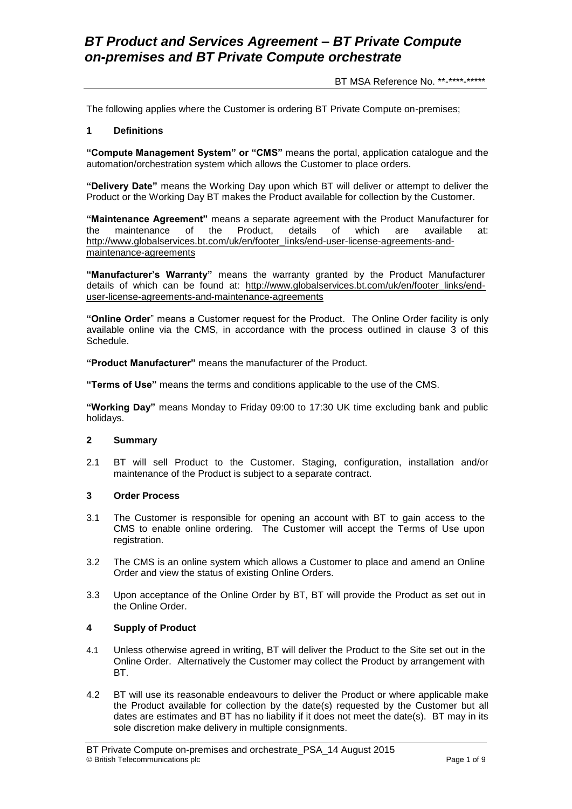BT MSA Reference No. \*\*-\*\*\*\*-\*\*\*\*\*

The following applies where the Customer is ordering BT Private Compute on-premises;

#### **1 Definitions**

**"Compute Management System" or "CMS"** means the portal, application catalogue and the automation/orchestration system which allows the Customer to place orders.

**"Delivery Date"** means the Working Day upon which BT will deliver or attempt to deliver the Product or the Working Day BT makes the Product available for collection by the Customer.

**"Maintenance Agreement"** means a separate agreement with the Product Manufacturer for the maintenance of the Product, details of which are available at: [http://www.globalservices.bt.com/uk/en/footer\\_links/end-user-license-agreements-and](https://www.globalservices.bt.com/uk/en/footer_links/end-user-license-agreements-and-maintenance-agreements)[maintenance-agreements](https://www.globalservices.bt.com/uk/en/footer_links/end-user-license-agreements-and-maintenance-agreements)

**"Manufacturer's Warranty"** means the warranty granted by the Product Manufacturer details of which can be found at: [http://www.globalservices.bt.com/uk/en/footer\\_links/end](https://www.globalservices.bt.com/uk/en/footer_links/end-user-license-agreements-and-maintenance-agreements)[user-license-agreements-and-maintenance-agreements](https://www.globalservices.bt.com/uk/en/footer_links/end-user-license-agreements-and-maintenance-agreements)

**"Online Order**" means a Customer request for the Product. The Online Order facility is only available online via the CMS, in accordance with the process outlined in clause 3 of this Schedule.

**"Product Manufacturer"** means the manufacturer of the Product.

**"Terms of Use"** means the terms and conditions applicable to the use of the CMS.

**"Working Day"** means Monday to Friday 09:00 to 17:30 UK time excluding bank and public holidays.

#### **2 Summary**

2.1 BT will sell Product to the Customer. Staging, configuration, installation and/or maintenance of the Product is subject to a separate contract.

#### **3 Order Process**

- 3.1 The Customer is responsible for opening an account with BT to gain access to the CMS to enable online ordering. The Customer will accept the Terms of Use upon registration.
- 3.2 The CMS is an online system which allows a Customer to place and amend an Online Order and view the status of existing Online Orders.
- 3.3 Upon acceptance of the Online Order by BT, BT will provide the Product as set out in the Online Order.

#### **4 Supply of Product**

- 4.1 Unless otherwise agreed in writing, BT will deliver the Product to the Site set out in the Online Order. Alternatively the Customer may collect the Product by arrangement with BT.
- 4.2 BT will use its reasonable endeavours to deliver the Product or where applicable make the Product available for collection by the date(s) requested by the Customer but all dates are estimates and BT has no liability if it does not meet the date(s). BT may in its sole discretion make delivery in multiple consignments.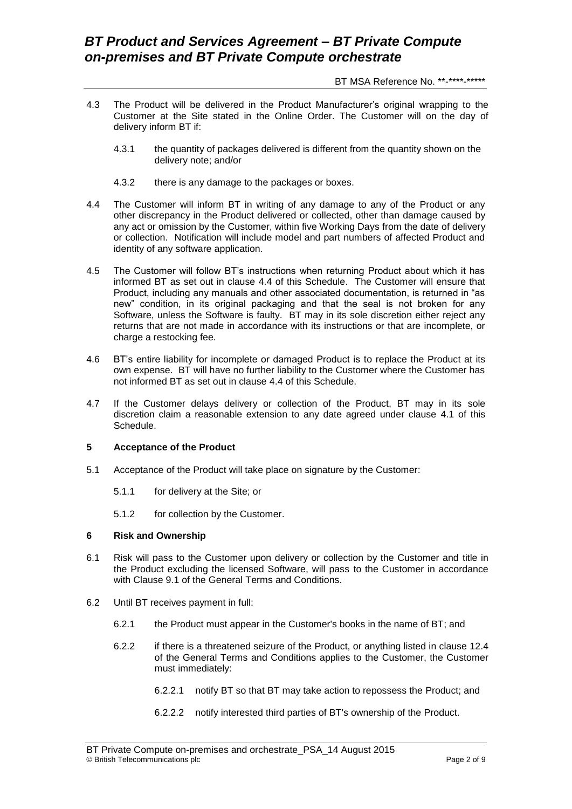BT MSA Reference No. \*\*-\*\*\*\*-\*\*\*\*\*

- 4.3 The Product will be delivered in the Product Manufacturer's original wrapping to the Customer at the Site stated in the Online Order. The Customer will on the day of delivery inform BT if:
	- 4.3.1 the quantity of packages delivered is different from the quantity shown on the delivery note; and/or
	- 4.3.2 there is any damage to the packages or boxes.
- 4.4 The Customer will inform BT in writing of any damage to any of the Product or any other discrepancy in the Product delivered or collected, other than damage caused by any act or omission by the Customer, within five Working Days from the date of delivery or collection. Notification will include model and part numbers of affected Product and identity of any software application.
- 4.5 The Customer will follow BT's instructions when returning Product about which it has informed BT as set out in clause 4.4 of this Schedule. The Customer will ensure that Product, including any manuals and other associated documentation, is returned in "as new" condition, in its original packaging and that the seal is not broken for any Software, unless the Software is faulty. BT may in its sole discretion either reject any returns that are not made in accordance with its instructions or that are incomplete, or charge a restocking fee.
- 4.6 BT's entire liability for incomplete or damaged Product is to replace the Product at its own expense. BT will have no further liability to the Customer where the Customer has not informed BT as set out in clause 4.4 of this Schedule.
- 4.7 If the Customer delays delivery or collection of the Product, BT may in its sole discretion claim a reasonable extension to any date agreed under clause 4.1 of this Schedule.

#### **5 Acceptance of the Product**

- 5.1 Acceptance of the Product will take place on signature by the Customer:
	- 5.1.1 for delivery at the Site; or
	- 5.1.2 for collection by the Customer.

#### **6 Risk and Ownership**

- 6.1 Risk will pass to the Customer upon delivery or collection by the Customer and title in the Product excluding the licensed Software, will pass to the Customer in accordance with Clause 9.1 of the General Terms and Conditions.
- 6.2 Until BT receives payment in full:
	- 6.2.1 the Product must appear in the Customer's books in the name of BT; and
	- 6.2.2 if there is a threatened seizure of the Product, or anything listed in clause 12.4 of the General Terms and Conditions applies to the Customer, the Customer must immediately:
		- 6.2.2.1 notify BT so that BT may take action to repossess the Product; and
		- 6.2.2.2 notify interested third parties of BT's ownership of the Product.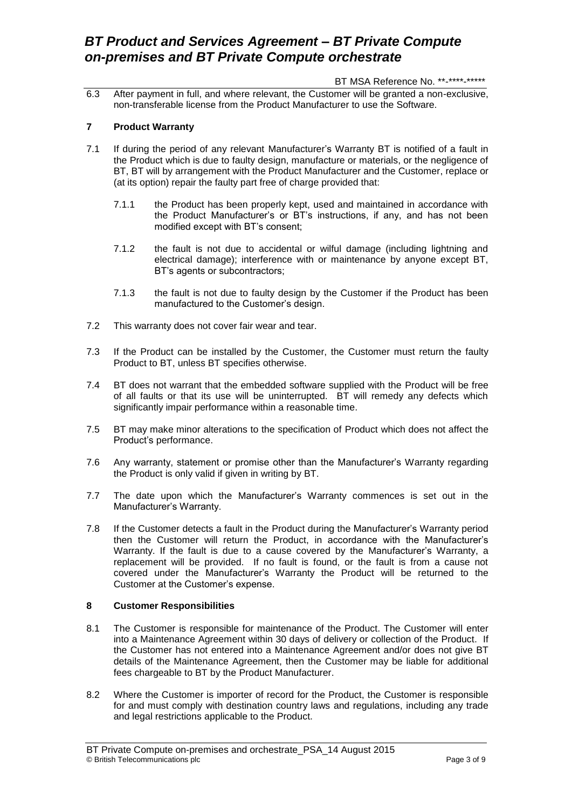#### BT MSA Reference No. \*\*-\*\*\*\*-\*\*\*\*\*

6.3 After payment in full, and where relevant, the Customer will be granted a non-exclusive, non-transferable license from the Product Manufacturer to use the Software.

### **7 Product Warranty**

- 7.1 If during the period of any relevant Manufacturer's Warranty BT is notified of a fault in the Product which is due to faulty design, manufacture or materials, or the negligence of BT, BT will by arrangement with the Product Manufacturer and the Customer, replace or (at its option) repair the faulty part free of charge provided that:
	- 7.1.1 the Product has been properly kept, used and maintained in accordance with the Product Manufacturer's or BT's instructions, if any, and has not been modified except with BT's consent;
	- 7.1.2 the fault is not due to accidental or wilful damage (including lightning and electrical damage); interference with or maintenance by anyone except BT, BT's agents or subcontractors;
	- 7.1.3 the fault is not due to faulty design by the Customer if the Product has been manufactured to the Customer's design.
- 7.2 This warranty does not cover fair wear and tear.
- 7.3 If the Product can be installed by the Customer, the Customer must return the faulty Product to BT, unless BT specifies otherwise.
- 7.4 BT does not warrant that the embedded software supplied with the Product will be free of all faults or that its use will be uninterrupted. BT will remedy any defects which significantly impair performance within a reasonable time.
- 7.5 BT may make minor alterations to the specification of Product which does not affect the Product's performance.
- 7.6 Any warranty, statement or promise other than the Manufacturer's Warranty regarding the Product is only valid if given in writing by BT.
- 7.7 The date upon which the Manufacturer's Warranty commences is set out in the Manufacturer's Warranty.
- 7.8 If the Customer detects a fault in the Product during the Manufacturer's Warranty period then the Customer will return the Product, in accordance with the Manufacturer's Warranty. If the fault is due to a cause covered by the Manufacturer's Warranty, a replacement will be provided. If no fault is found, or the fault is from a cause not covered under the Manufacturer's Warranty the Product will be returned to the Customer at the Customer's expense.

### **8 Customer Responsibilities**

- 8.1 The Customer is responsible for maintenance of the Product. The Customer will enter into a Maintenance Agreement within 30 days of delivery or collection of the Product. If the Customer has not entered into a Maintenance Agreement and/or does not give BT details of the Maintenance Agreement, then the Customer may be liable for additional fees chargeable to BT by the Product Manufacturer.
- 8.2 Where the Customer is importer of record for the Product, the Customer is responsible for and must comply with destination country laws and regulations, including any trade and legal restrictions applicable to the Product.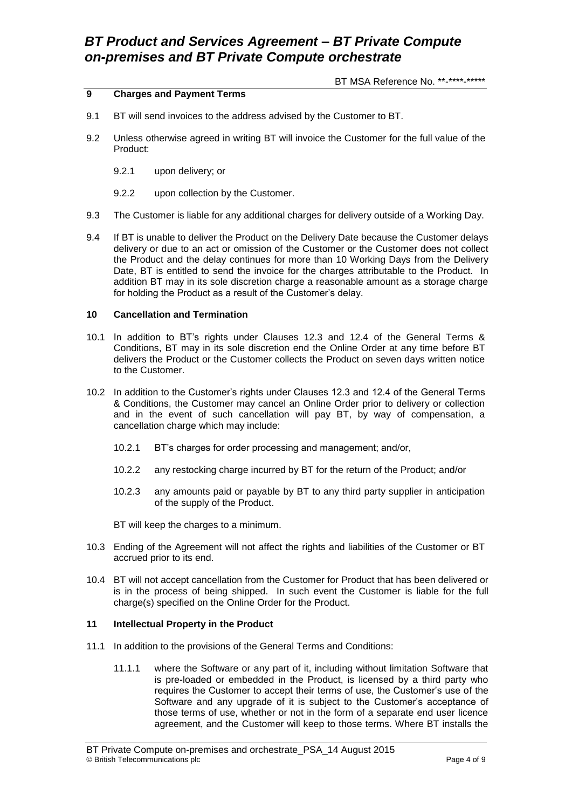BT MSA Reference No. \*\*-\*\*\*\*-\*\*\*\*\*

### **9 Charges and Payment Terms**

- 9.1 BT will send invoices to the address advised by the Customer to BT.
- 9.2 Unless otherwise agreed in writing BT will invoice the Customer for the full value of the Product:
	- 9.2.1 upon delivery; or
	- 9.2.2 upon collection by the Customer.
- 9.3 The Customer is liable for any additional charges for delivery outside of a Working Day.
- 9.4 If BT is unable to deliver the Product on the Delivery Date because the Customer delays delivery or due to an act or omission of the Customer or the Customer does not collect the Product and the delay continues for more than 10 Working Days from the Delivery Date, BT is entitled to send the invoice for the charges attributable to the Product. In addition BT may in its sole discretion charge a reasonable amount as a storage charge for holding the Product as a result of the Customer's delay.

#### **10 Cancellation and Termination**

- 10.1 In addition to BT's rights under Clauses 12.3 and 12.4 of the General Terms & Conditions, BT may in its sole discretion end the Online Order at any time before BT delivers the Product or the Customer collects the Product on seven days written notice to the Customer.
- 10.2 In addition to the Customer's rights under Clauses 12.3 and 12.4 of the General Terms & Conditions, the Customer may cancel an Online Order prior to delivery or collection and in the event of such cancellation will pay BT, by way of compensation, a cancellation charge which may include:
	- 10.2.1 BT's charges for order processing and management; and/or,
	- 10.2.2 any restocking charge incurred by BT for the return of the Product; and/or
	- 10.2.3 any amounts paid or payable by BT to any third party supplier in anticipation of the supply of the Product.
	- BT will keep the charges to a minimum.
- 10.3 Ending of the Agreement will not affect the rights and liabilities of the Customer or BT accrued prior to its end.
- 10.4 BT will not accept cancellation from the Customer for Product that has been delivered or is in the process of being shipped. In such event the Customer is liable for the full charge(s) specified on the Online Order for the Product.

#### **11 Intellectual Property in the Product**

- 11.1 In addition to the provisions of the General Terms and Conditions:
	- 11.1.1 where the Software or any part of it, including without limitation Software that is pre-loaded or embedded in the Product, is licensed by a third party who requires the Customer to accept their terms of use, the Customer's use of the Software and any upgrade of it is subject to the Customer's acceptance of those terms of use, whether or not in the form of a separate end user licence agreement, and the Customer will keep to those terms. Where BT installs the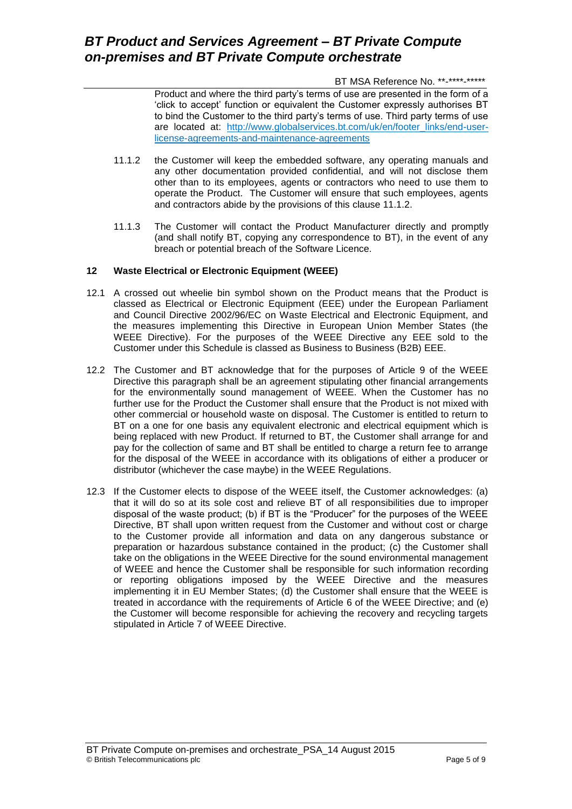BT MSA Reference No. \*\*-\*\*\*\*-\*\*\*\*\*

Product and where the third party's terms of use are presented in the form of a 'click to accept' function or equivalent the Customer expressly authorises BT to bind the Customer to the third party's terms of use. Third party terms of use are located at: [http://www.globalservices.bt.com/uk/en/footer\\_links/end-user](https://www.globalservices.bt.com/uk/en/footer_links/end-user-license-agreements-and-maintenance-agreements)[license-agreements-and-maintenance-agreements](https://www.globalservices.bt.com/uk/en/footer_links/end-user-license-agreements-and-maintenance-agreements)

- 11.1.2 the Customer will keep the embedded software, any operating manuals and any other documentation provided confidential, and will not disclose them other than to its employees, agents or contractors who need to use them to operate the Product. The Customer will ensure that such employees, agents and contractors abide by the provisions of this clause 11.1.2.
- 11.1.3 The Customer will contact the Product Manufacturer directly and promptly (and shall notify BT, copying any correspondence to BT), in the event of any breach or potential breach of the Software Licence.

### **12 Waste Electrical or Electronic Equipment (WEEE)**

- 12.1 A crossed out wheelie bin symbol shown on the Product means that the Product is classed as Electrical or Electronic Equipment (EEE) under the European Parliament and Council Directive 2002/96/EC on Waste Electrical and Electronic Equipment, and the measures implementing this Directive in European Union Member States (the WEEE Directive). For the purposes of the WEEE Directive any EEE sold to the Customer under this Schedule is classed as Business to Business (B2B) EEE.
- 12.2 The Customer and BT acknowledge that for the purposes of Article 9 of the WEEE Directive this paragraph shall be an agreement stipulating other financial arrangements for the environmentally sound management of WEEE. When the Customer has no further use for the Product the Customer shall ensure that the Product is not mixed with other commercial or household waste on disposal. The Customer is entitled to return to BT on a one for one basis any equivalent electronic and electrical equipment which is being replaced with new Product. If returned to BT, the Customer shall arrange for and pay for the collection of same and BT shall be entitled to charge a return fee to arrange for the disposal of the WEEE in accordance with its obligations of either a producer or distributor (whichever the case maybe) in the WEEE Regulations.
- 12.3 If the Customer elects to dispose of the WEEE itself, the Customer acknowledges: (a) that it will do so at its sole cost and relieve BT of all responsibilities due to improper disposal of the waste product; (b) if BT is the "Producer" for the purposes of the WEEE Directive, BT shall upon written request from the Customer and without cost or charge to the Customer provide all information and data on any dangerous substance or preparation or hazardous substance contained in the product; (c) the Customer shall take on the obligations in the WEEE Directive for the sound environmental management of WEEE and hence the Customer shall be responsible for such information recording or reporting obligations imposed by the WEEE Directive and the measures implementing it in EU Member States; (d) the Customer shall ensure that the WEEE is treated in accordance with the requirements of Article 6 of the WEEE Directive; and (e) the Customer will become responsible for achieving the recovery and recycling targets stipulated in Article 7 of WEEE Directive.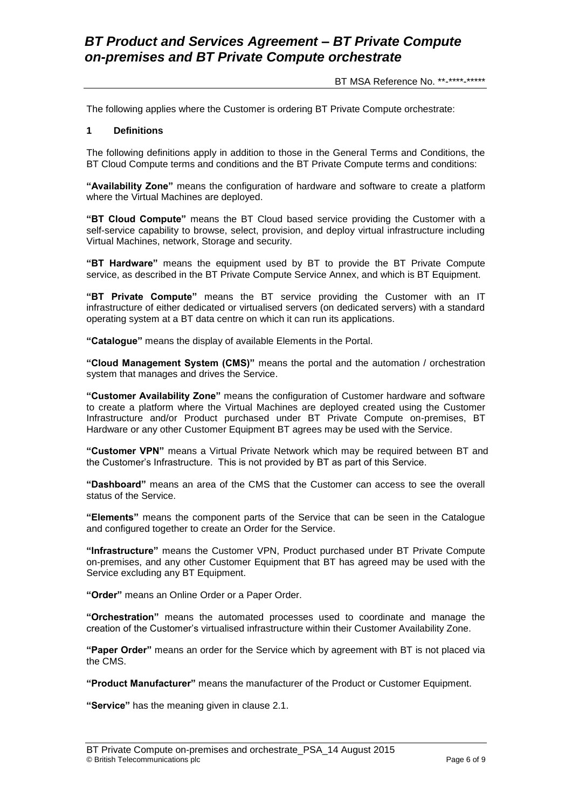BT MSA Reference No. \*\*-\*\*\*\*-\*\*\*\*\*

The following applies where the Customer is ordering BT Private Compute orchestrate:

#### **1 Definitions**

The following definitions apply in addition to those in the General Terms and Conditions, the BT Cloud Compute terms and conditions and the BT Private Compute terms and conditions:

**"Availability Zone"** means the configuration of hardware and software to create a platform where the Virtual Machines are deployed.

**"BT Cloud Compute"** means the BT Cloud based service providing the Customer with a self-service capability to browse, select, provision, and deploy virtual infrastructure including Virtual Machines, network, Storage and security.

**"BT Hardware"** means the equipment used by BT to provide the BT Private Compute service, as described in the BT Private Compute Service Annex, and which is BT Equipment.

**"BT Private Compute"** means the BT service providing the Customer with an IT infrastructure of either dedicated or virtualised servers (on dedicated servers) with a standard operating system at a BT data centre on which it can run its applications.

**"Catalogue"** means the display of available Elements in the Portal.

**"Cloud Management System (CMS)"** means the portal and the automation / orchestration system that manages and drives the Service.

**"Customer Availability Zone"** means the configuration of Customer hardware and software to create a platform where the Virtual Machines are deployed created using the Customer Infrastructure and/or Product purchased under BT Private Compute on-premises, BT Hardware or any other Customer Equipment BT agrees may be used with the Service.

**"Customer VPN"** means a Virtual Private Network which may be required between BT and the Customer's Infrastructure. This is not provided by BT as part of this Service.

**"Dashboard"** means an area of the CMS that the Customer can access to see the overall status of the Service.

**"Elements"** means the component parts of the Service that can be seen in the Catalogue and configured together to create an Order for the Service.

**"Infrastructure"** means the Customer VPN, Product purchased under BT Private Compute on-premises, and any other Customer Equipment that BT has agreed may be used with the Service excluding any BT Equipment.

**"Order"** means an Online Order or a Paper Order.

**"Orchestration"** means the automated processes used to coordinate and manage the creation of the Customer's virtualised infrastructure within their Customer Availability Zone.

**"Paper Order"** means an order for the Service which by agreement with BT is not placed via the CMS.

**"Product Manufacturer"** means the manufacturer of the Product or Customer Equipment.

**"Service"** has the meaning given in clause 2.1.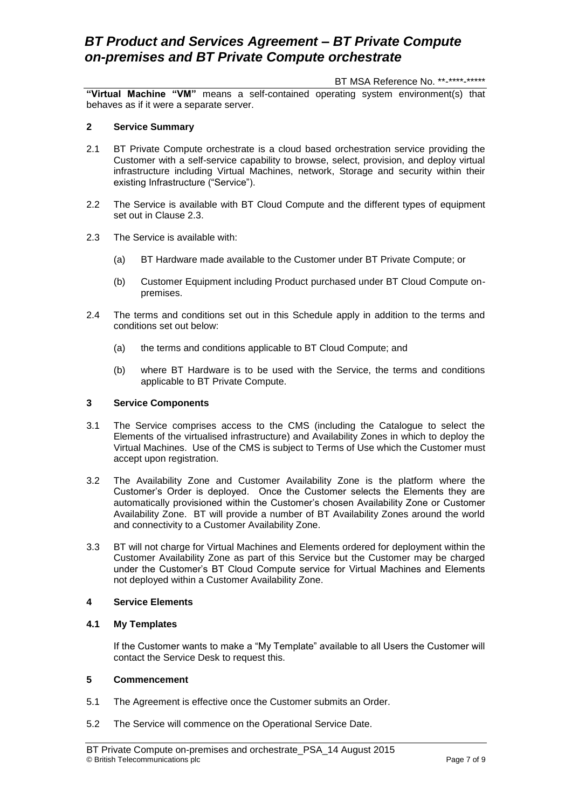#### BT MSA Reference No. \*\*-\*\*\*\*-\*\*\*\*\*

**"Virtual Machine "VM"** means a self-contained operating system environment(s) that behaves as if it were a separate server.

#### **2 Service Summary**

- 2.1 BT Private Compute orchestrate is a cloud based orchestration service providing the Customer with a self-service capability to browse, select, provision, and deploy virtual infrastructure including Virtual Machines, network, Storage and security within their existing Infrastructure ("Service").
- 2.2 The Service is available with BT Cloud Compute and the different types of equipment set out in Clause 2.3.
- 2.3 The Service is available with:
	- (a) BT Hardware made available to the Customer under BT Private Compute; or
	- (b) Customer Equipment including Product purchased under BT Cloud Compute onpremises.
- 2.4 The terms and conditions set out in this Schedule apply in addition to the terms and conditions set out below:
	- (a) the terms and conditions applicable to BT Cloud Compute; and
	- (b) where BT Hardware is to be used with the Service, the terms and conditions applicable to BT Private Compute.

#### **3 Service Components**

- 3.1 The Service comprises access to the CMS (including the Catalogue to select the Elements of the virtualised infrastructure) and Availability Zones in which to deploy the Virtual Machines. Use of the CMS is subject to Terms of Use which the Customer must accept upon registration.
- 3.2 The Availability Zone and Customer Availability Zone is the platform where the Customer's Order is deployed. Once the Customer selects the Elements they are automatically provisioned within the Customer's chosen Availability Zone or Customer Availability Zone. BT will provide a number of BT Availability Zones around the world and connectivity to a Customer Availability Zone.
- 3.3 BT will not charge for Virtual Machines and Elements ordered for deployment within the Customer Availability Zone as part of this Service but the Customer may be charged under the Customer's BT Cloud Compute service for Virtual Machines and Elements not deployed within a Customer Availability Zone.

#### **4 Service Elements**

#### **4.1 My Templates**

If the Customer wants to make a "My Template" available to all Users the Customer will contact the Service Desk to request this.

### **5 Commencement**

- 5.1 The Agreement is effective once the Customer submits an Order.
- 5.2 The Service will commence on the Operational Service Date.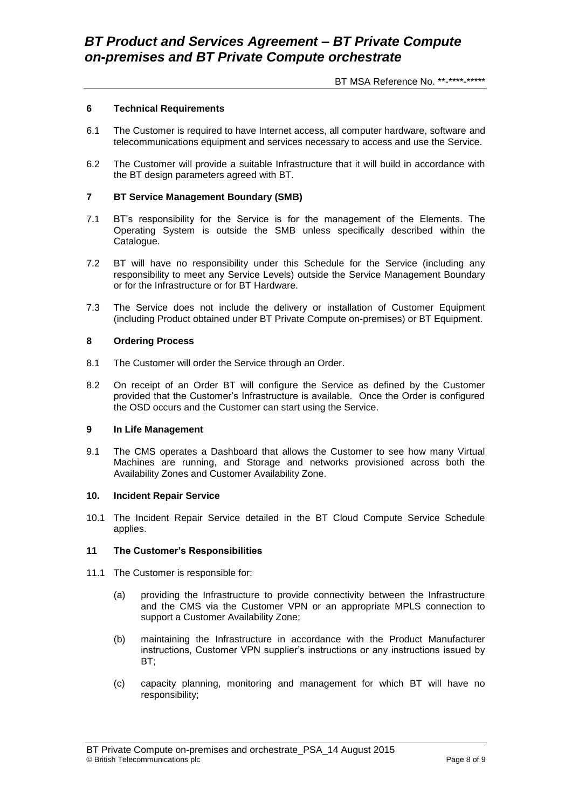BT MSA Reference No. \*\*-\*\*\*\*-\*\*\*\*\*

#### **6 Technical Requirements**

- 6.1 The Customer is required to have Internet access, all computer hardware, software and telecommunications equipment and services necessary to access and use the Service.
- 6.2 The Customer will provide a suitable Infrastructure that it will build in accordance with the BT design parameters agreed with BT.

#### **7 BT Service Management Boundary (SMB)**

- 7.1 BT's responsibility for the Service is for the management of the Elements. The Operating System is outside the SMB unless specifically described within the Catalogue.
- 7.2 BT will have no responsibility under this Schedule for the Service (including any responsibility to meet any Service Levels) outside the Service Management Boundary or for the Infrastructure or for BT Hardware.
- 7.3 The Service does not include the delivery or installation of Customer Equipment (including Product obtained under BT Private Compute on-premises) or BT Equipment.

#### **8 Ordering Process**

- 8.1 The Customer will order the Service through an Order.
- 8.2 On receipt of an Order BT will configure the Service as defined by the Customer provided that the Customer's Infrastructure is available. Once the Order is configured the OSD occurs and the Customer can start using the Service.

#### **9 In Life Management**

9.1 The CMS operates a Dashboard that allows the Customer to see how many Virtual Machines are running, and Storage and networks provisioned across both the Availability Zones and Customer Availability Zone.

#### **10. Incident Repair Service**

10.1 The Incident Repair Service detailed in the BT Cloud Compute Service Schedule applies.

#### **11 The Customer's Responsibilities**

- 11.1 The Customer is responsible for:
	- (a) providing the Infrastructure to provide connectivity between the Infrastructure and the CMS via the Customer VPN or an appropriate MPLS connection to support a Customer Availability Zone;
	- (b) maintaining the Infrastructure in accordance with the Product Manufacturer instructions, Customer VPN supplier's instructions or any instructions issued by BT;
	- (c) capacity planning, monitoring and management for which BT will have no responsibility;